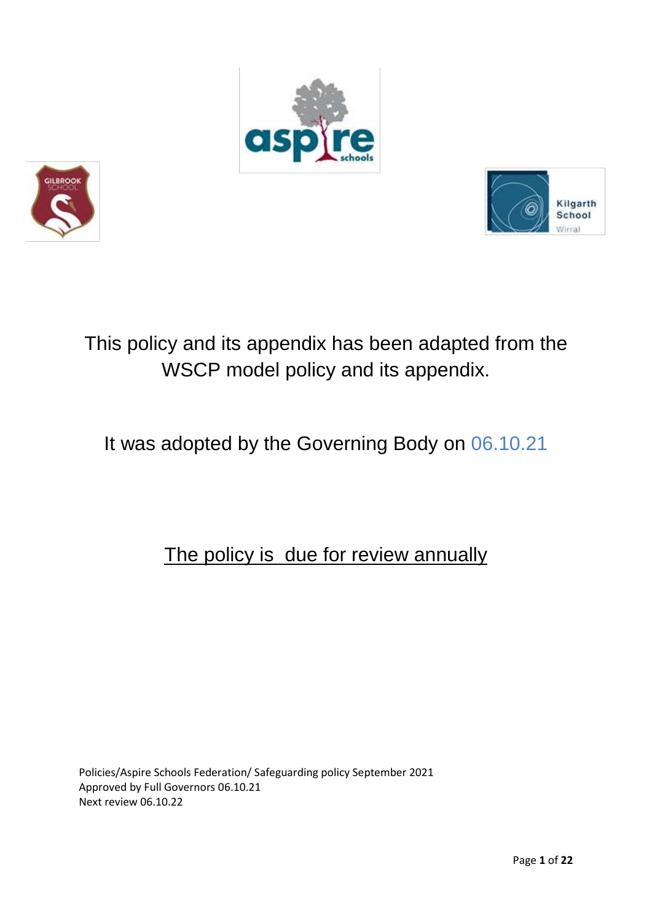





# This policy and its appendix has been adapted from the WSCP model policy and its appendix.

# It was adopted by the Governing Body on 06.10.21

## The policy is due for review annually

Policies/Aspire Schools Federation/ Safeguarding policy September 2021 Approved by Full Governors 06.10.21 Next review 06.10.22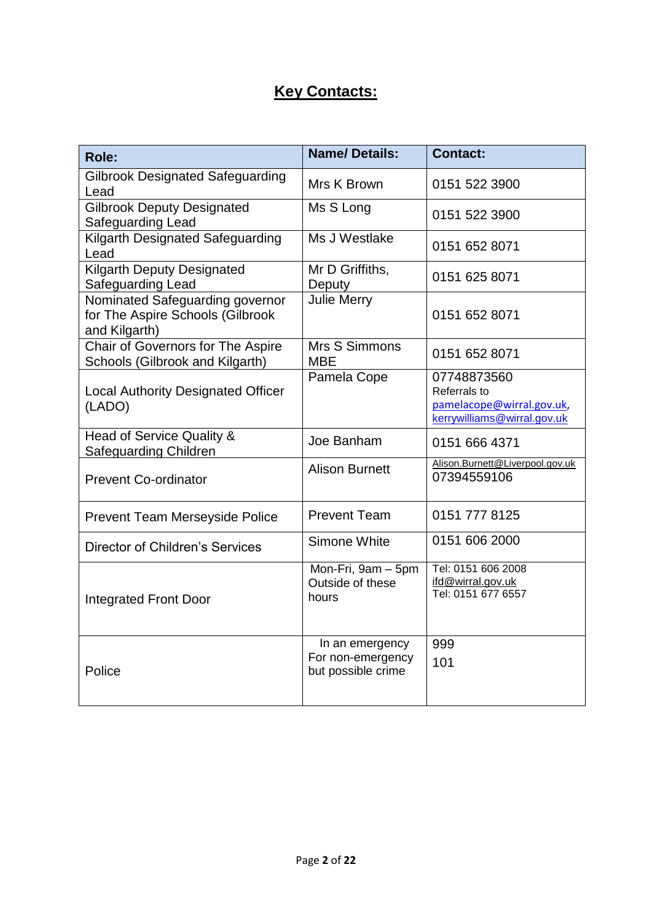## **Key Contacts:**

| Role:                                                                                | <b>Name/Details:</b>                                       | <b>Contact:</b>                                                                         |
|--------------------------------------------------------------------------------------|------------------------------------------------------------|-----------------------------------------------------------------------------------------|
| <b>Gilbrook Designated Safeguarding</b><br>Lead                                      | Mrs K Brown                                                | 0151 522 3900                                                                           |
| <b>Gilbrook Deputy Designated</b><br>Safeguarding Lead                               | Ms S Long                                                  | 0151 522 3900                                                                           |
| Kilgarth Designated Safeguarding<br>Lead                                             | Ms J Westlake                                              | 0151 652 8071                                                                           |
| <b>Kilgarth Deputy Designated</b><br>Safeguarding Lead                               | Mr D Griffiths,<br>Deputy                                  | 0151 625 8071                                                                           |
| Nominated Safeguarding governor<br>for The Aspire Schools (Gilbrook<br>and Kilgarth) | <b>Julie Merry</b>                                         | 0151 652 8071                                                                           |
| Chair of Governors for The Aspire<br>Schools (Gilbrook and Kilgarth)                 | Mrs S Simmons<br><b>MBE</b>                                | 0151 652 8071                                                                           |
| <b>Local Authority Designated Officer</b><br>(LADO)                                  | Pamela Cope                                                | 07748873560<br>Referrals to<br>pamelacope@wirral.gov.uk,<br>kerrywilliams@wirral.gov.uk |
| Head of Service Quality &<br>Safeguarding Children                                   | Joe Banham                                                 | 0151 666 4371                                                                           |
| <b>Prevent Co-ordinator</b>                                                          | <b>Alison Burnett</b>                                      | Alison.Burnett@Liverpool.gov.uk<br>07394559106                                          |
| <b>Prevent Team Merseyside Police</b>                                                | <b>Prevent Team</b>                                        | 0151 777 8125                                                                           |
| Director of Children's Services                                                      | Simone White                                               | 0151 606 2000                                                                           |
| <b>Integrated Front Door</b>                                                         | Mon-Fri, 9am - 5pm<br>Outside of these<br>hours            | Tel: 0151 606 2008<br>ifd@wirral.gov.uk<br>Tel: 0151 677 6557                           |
| Police                                                                               | In an emergency<br>For non-emergency<br>but possible crime | 999<br>101                                                                              |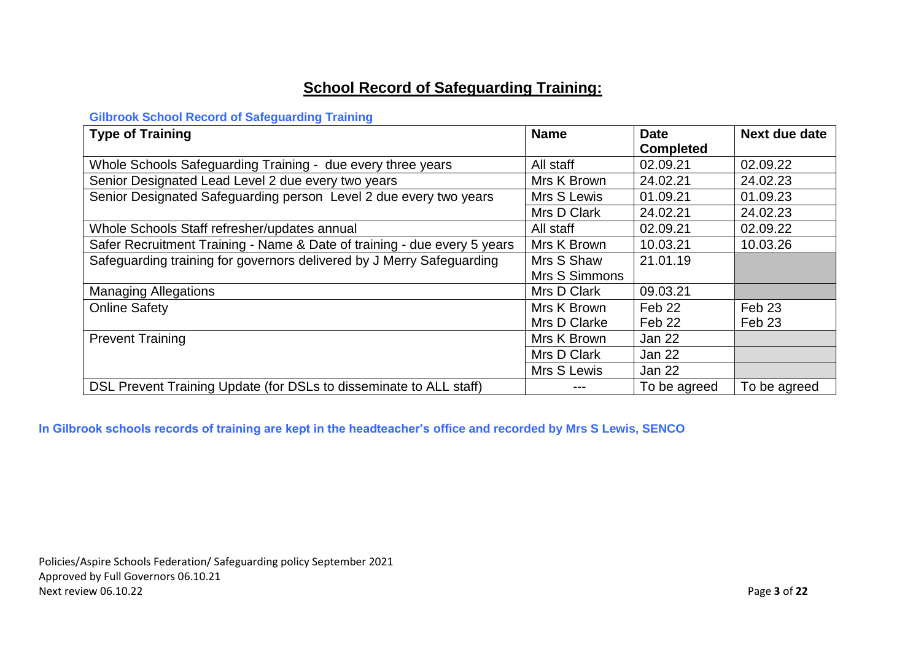## **School Record of Safeguarding Training:**

#### **Gilbrook School Record of Safeguarding Training**

| <b>Type of Training</b>                                                  | <b>Name</b>   | <b>Date</b>       | Next due date     |
|--------------------------------------------------------------------------|---------------|-------------------|-------------------|
|                                                                          |               | <b>Completed</b>  |                   |
| Whole Schools Safeguarding Training - due every three years              | All staff     | 02.09.21          | 02.09.22          |
| Senior Designated Lead Level 2 due every two years                       | Mrs K Brown   | 24.02.21          | 24.02.23          |
| Senior Designated Safeguarding person Level 2 due every two years        | Mrs S Lewis   | 01.09.21          | 01.09.23          |
|                                                                          | Mrs D Clark   | 24.02.21          | 24.02.23          |
| Whole Schools Staff refresher/updates annual                             | All staff     | 02.09.21          | 02.09.22          |
| Safer Recruitment Training - Name & Date of training - due every 5 years | Mrs K Brown   | 10.03.21          | 10.03.26          |
| Safeguarding training for governors delivered by J Merry Safeguarding    | Mrs S Shaw    | 21.01.19          |                   |
|                                                                          | Mrs S Simmons |                   |                   |
| <b>Managing Allegations</b>                                              | Mrs D Clark   | 09.03.21          |                   |
| <b>Online Safety</b>                                                     | Mrs K Brown   | Feb 22            | Feb <sub>23</sub> |
|                                                                          | Mrs D Clarke  | Feb <sub>22</sub> | Feb <sub>23</sub> |
| <b>Prevent Training</b>                                                  | Mrs K Brown   | Jan 22            |                   |
|                                                                          | Mrs D Clark   | <b>Jan 22</b>     |                   |
|                                                                          | Mrs S Lewis   | Jan 22            |                   |
| DSL Prevent Training Update (for DSLs to disseminate to ALL staff)       | ---           | To be agreed      | To be agreed      |

**In Gilbrook schools records of training are kept in the headteacher's office and recorded by Mrs S Lewis, SENCO**

Policies/Aspire Schools Federation/ Safeguarding policy September 2021 Approved by Full Governors 06.10.21 Next review 06.10.22 Page **3** of **22**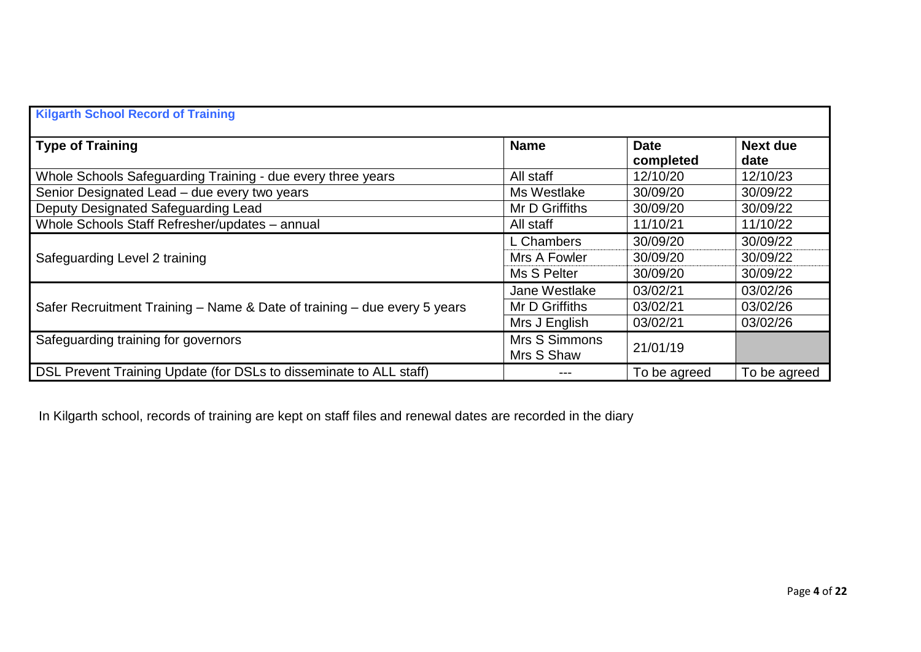| <b>Kilgarth School Record of Training</b>                                |                             |                          |                         |
|--------------------------------------------------------------------------|-----------------------------|--------------------------|-------------------------|
| <b>Type of Training</b>                                                  | <b>Name</b>                 | <b>Date</b><br>completed | <b>Next due</b><br>date |
| Whole Schools Safeguarding Training - due every three years              | All staff                   | 12/10/20                 | 12/10/23                |
| Senior Designated Lead - due every two years                             | Ms Westlake                 | 30/09/20                 | 30/09/22                |
| Deputy Designated Safeguarding Lead                                      | Mr D Griffiths              | 30/09/20                 | 30/09/22                |
| Whole Schools Staff Refresher/updates - annual                           | All staff                   | 11/10/21                 | 11/10/22                |
|                                                                          | L Chambers                  | 30/09/20                 | 30/09/22                |
| Safeguarding Level 2 training                                            | Mrs A Fowler                | 30/09/20                 | 30/09/22                |
|                                                                          | Ms S Pelter                 | 30/09/20                 | 30/09/22                |
|                                                                          | Jane Westlake               | 03/02/21                 | 03/02/26                |
| Safer Recruitment Training - Name & Date of training - due every 5 years | Mr D Griffiths              | 03/02/21                 | 03/02/26                |
|                                                                          | Mrs J English               | 03/02/21                 | 03/02/26                |
| Safeguarding training for governors                                      | Mrs S Simmons<br>Mrs S Shaw | 21/01/19                 |                         |
| DSL Prevent Training Update (for DSLs to disseminate to ALL staff)       |                             | To be agreed             | To be agreed            |

In Kilgarth school, records of training are kept on staff files and renewal dates are recorded in the diary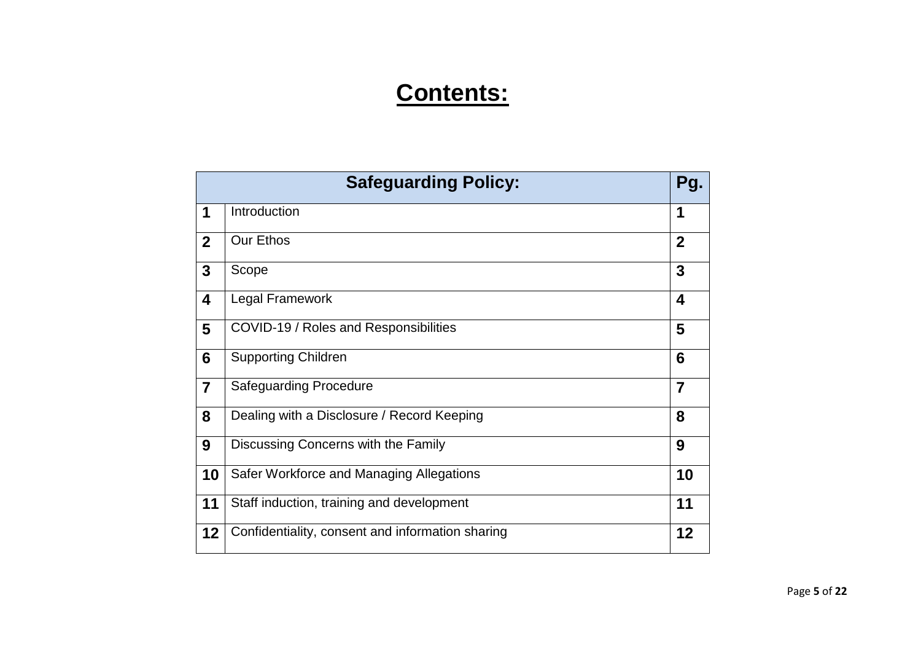# **Contents:**

|                | <b>Safeguarding Policy:</b><br>Pg.               |                |
|----------------|--------------------------------------------------|----------------|
| 1              | Introduction                                     | 1              |
| $\overline{2}$ | <b>Our Ethos</b>                                 | $\overline{2}$ |
| $\mathbf{3}$   | Scope                                            | 3              |
| 4              | Legal Framework                                  | 4              |
| 5              | COVID-19 / Roles and Responsibilities            | 5              |
| 6              | <b>Supporting Children</b>                       | 6              |
| $\overline{7}$ | <b>Safeguarding Procedure</b>                    | $\overline{7}$ |
| 8              | Dealing with a Disclosure / Record Keeping       | 8              |
| 9              | Discussing Concerns with the Family              | 9              |
| 10             | Safer Workforce and Managing Allegations         | 10             |
| 11             | Staff induction, training and development        | 11             |
| 12             | Confidentiality, consent and information sharing | 12             |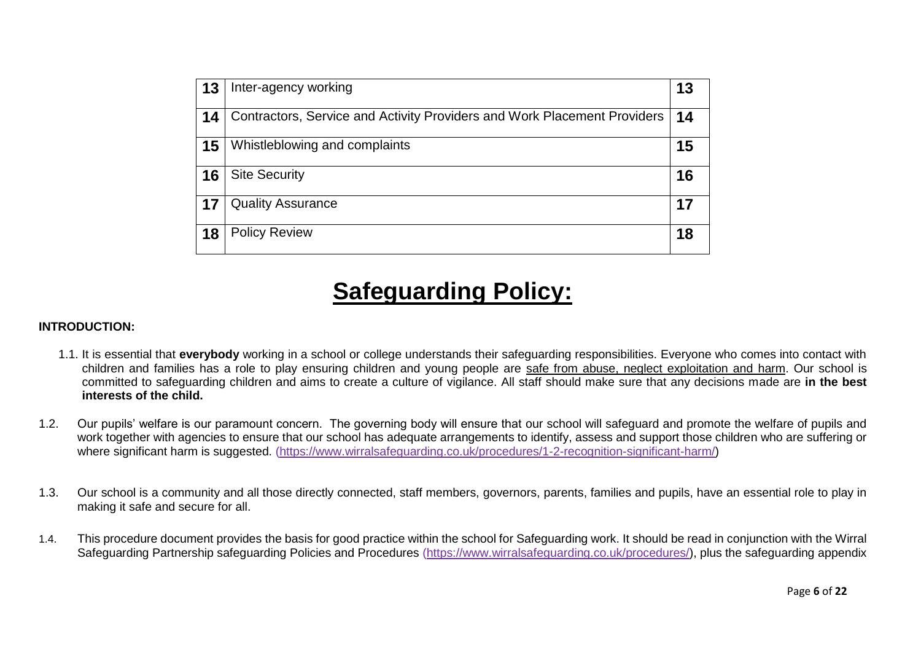| 13 | Inter-agency working                                                     | 13 |
|----|--------------------------------------------------------------------------|----|
| 14 | Contractors, Service and Activity Providers and Work Placement Providers | 14 |
| 15 | Whistleblowing and complaints                                            | 15 |
| 16 | <b>Site Security</b>                                                     | 16 |
| 17 | <b>Quality Assurance</b>                                                 | 17 |
| 18 | <b>Policy Review</b>                                                     | 18 |

# **Safeguarding Policy:**

#### **INTRODUCTION:**

- 1.1. It is essential that **everybody** working in a school or college understands their safeguarding responsibilities. Everyone who comes into contact with children and families has a role to play ensuring children and young people are safe from abuse, neglect exploitation and harm. Our school is committed to safeguarding children and aims to create a culture of vigilance. All staff should make sure that any decisions made are **in the best interests of the child.**
- 1.2. Our pupils' welfare is our paramount concern. The governing body will ensure that our school will safeguard and promote the welfare of pupils and work together with agencies to ensure that our school has adequate arrangements to identify, assess and support those children who are suffering or where significant harm is suggested. [\(https://www.wirralsafeguarding.co.uk/procedures/1-2-recognition-significant-harm/\)](https://www.wirralsafeguarding.co.uk/procedures/1-2-recognition-significant-harm/)
- 1.3. Our school is a community and all those directly connected, staff members, governors, parents, families and pupils, have an essential role to play in making it safe and secure for all.
- 1.4. This procedure document provides the basis for good practice within the school for Safeguarding work. It should be read in conjunction with the Wirral Safeguarding Partnership safeguarding Policies and Procedures [\(https://www.wirralsafeguarding.co.uk/procedures/\)](https://www.wirralsafeguarding.co.uk/procedures/), plus the safeguarding appendix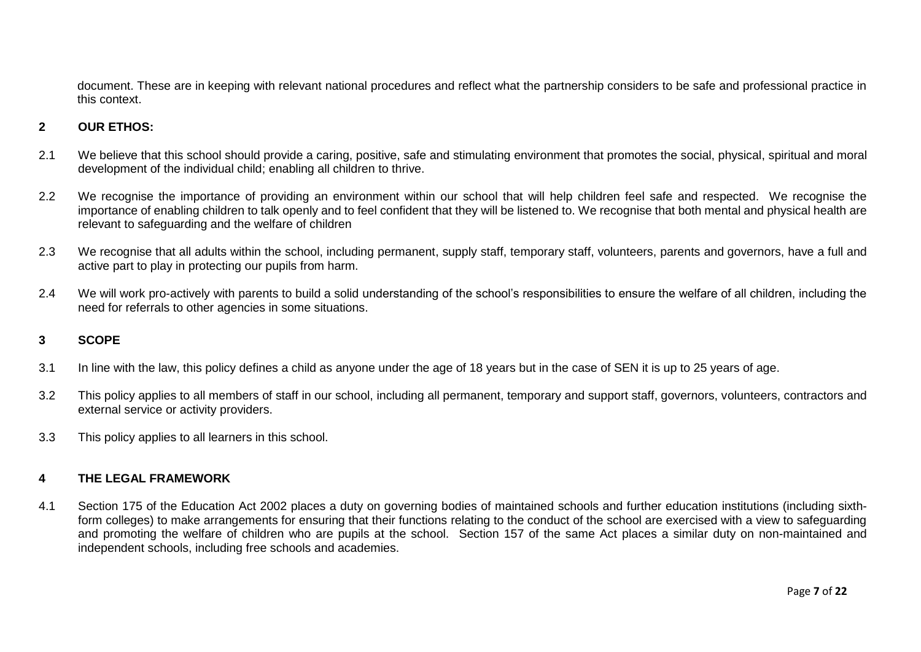document. These are in keeping with relevant national procedures and reflect what the partnership considers to be safe and professional practice in this context.

#### **2 OUR ETHOS:**

- 2.1 We believe that this school should provide a caring, positive, safe and stimulating environment that promotes the social, physical, spiritual and moral development of the individual child; enabling all children to thrive.
- 2.2 We recognise the importance of providing an environment within our school that will help children feel safe and respected. We recognise the importance of enabling children to talk openly and to feel confident that they will be listened to. We recognise that both mental and physical health are relevant to safeguarding and the welfare of children
- 2.3 We recognise that all adults within the school, including permanent, supply staff, temporary staff, volunteers, parents and governors, have a full and active part to play in protecting our pupils from harm.
- 2.4 We will work pro-actively with parents to build a solid understanding of the school's responsibilities to ensure the welfare of all children, including the need for referrals to other agencies in some situations.

#### **3 SCOPE**

- 3.1 In line with the law, this policy defines a child as anyone under the age of 18 years but in the case of SEN it is up to 25 years of age.
- 3.2 This policy applies to all members of staff in our school, including all permanent, temporary and support staff, governors, volunteers, contractors and external service or activity providers.
- 3.3 This policy applies to all learners in this school.

#### **4 THE LEGAL FRAMEWORK**

4.1 Section 175 of the Education Act 2002 places a duty on governing bodies of maintained schools and further education institutions (including sixthform colleges) to make arrangements for ensuring that their functions relating to the conduct of the school are exercised with a view to safeguarding and promoting the welfare of children who are pupils at the school. Section 157 of the same Act places a similar duty on non-maintained and independent schools, including free schools and academies.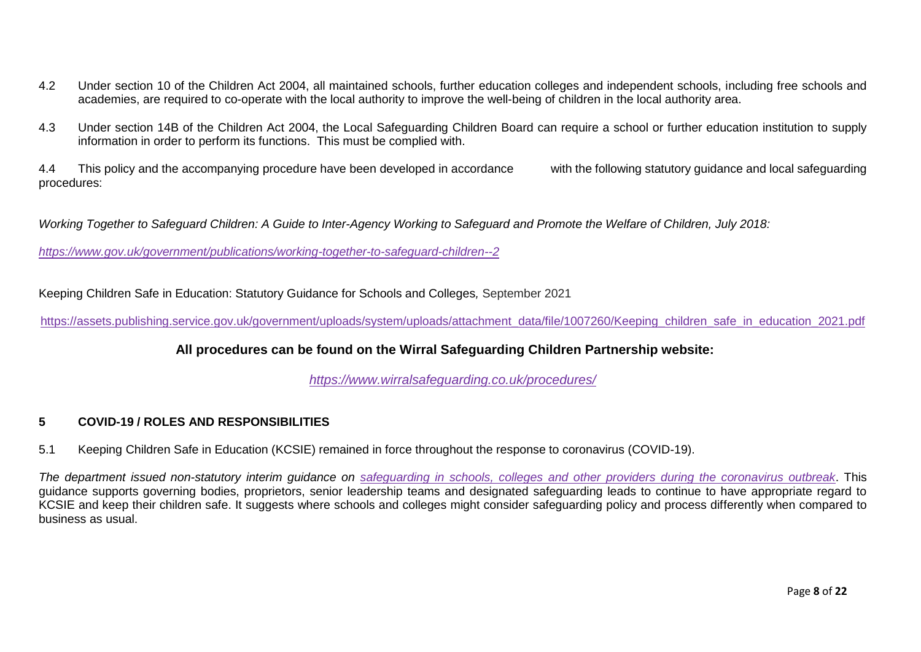- 4.2 Under section 10 of the Children Act 2004, all maintained schools, further education colleges and independent schools, including free schools and academies, are required to co-operate with the local authority to improve the well-being of children in the local authority area.
- 4.3 Under section 14B of the Children Act 2004, the Local Safeguarding Children Board can require a school or further education institution to supply information in order to perform its functions. This must be complied with.

4.4 This policy and the accompanying procedure have been developed in accordance with the following statutory guidance and local safeguarding procedures:

*Working Together to Safeguard Children: A Guide to Inter-Agency Working to Safeguard and Promote the Welfare of Children, July 2018:*

*<https://www.gov.uk/government/publications/working-together-to-safeguard-children--2>*

Keeping Children Safe in Education: Statutory Guidance for Schools and Colleges*,* September 2021

[https://assets.publishing.service.gov.uk/government/uploads/system/uploads/attachment\\_data/file/1007260/Keeping\\_children\\_safe\\_in\\_education\\_2021.pdf](https://assets.publishing.service.gov.uk/government/uploads/system/uploads/attachment_data/file/1007260/Keeping_children_safe_in_education_2021.pdf)

**All procedures can be found on the Wirral Safeguarding Children Partnership website:**

*<https://www.wirralsafeguarding.co.uk/procedures/>*

#### **5 COVID-19 / ROLES AND RESPONSIBILITIES**

5.1 Keeping Children Safe in Education (KCSIE) remained in force throughout the response to coronavirus (COVID-19).

*The department issued non-statutory interim guidance on [safeguarding in schools, colleges and other providers during the coronavirus outbreak](https://www.gov.uk/government/publications/covid-19-safeguarding-in-schools-colleges-and-other-providers)*. This guidance supports governing bodies, proprietors, senior leadership teams and designated safeguarding leads to continue to have appropriate regard to KCSIE and keep their children safe. It suggests where schools and colleges might consider safeguarding policy and process differently when compared to business as usual.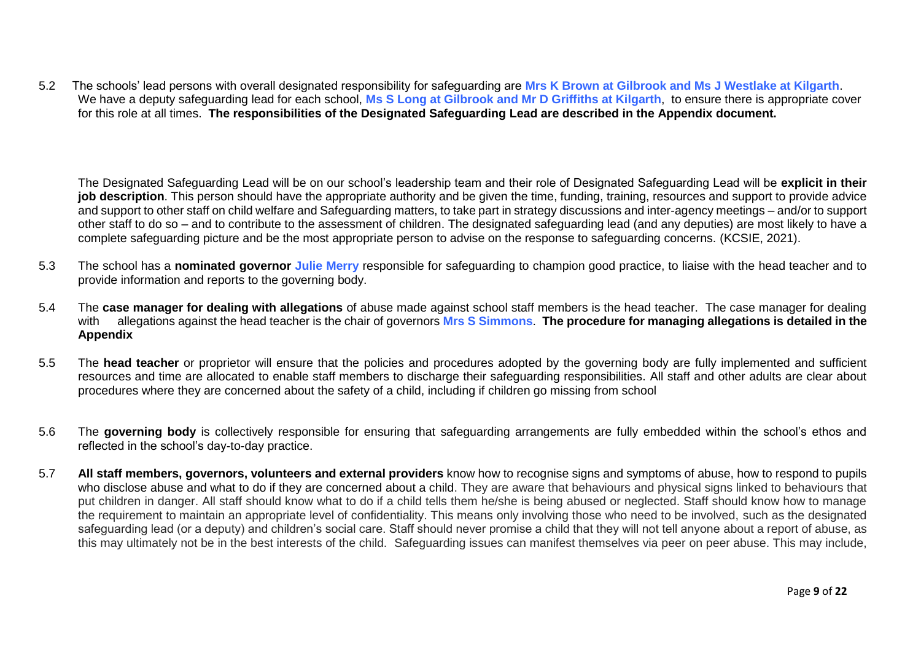5.2 The schools' lead persons with overall designated responsibility for safeguarding are **Mrs K Brown at Gilbrook and Ms J Westlake at Kilgarth**. We have a deputy safeguarding lead for each school, **Ms S Long at Gilbrook and Mr D Griffiths at Kilgarth**, to ensure there is appropriate cover for this role at all times. **The responsibilities of the Designated Safeguarding Lead are described in the Appendix document.**

The Designated Safeguarding Lead will be on our school's leadership team and their role of Designated Safeguarding Lead will be **explicit in their job description**. This person should have the appropriate authority and be given the time, funding, training, resources and support to provide advice and support to other staff on child welfare and Safeguarding matters, to take part in strategy discussions and inter-agency meetings – and/or to support other staff to do so – and to contribute to the assessment of children. The designated safeguarding lead (and any deputies) are most likely to have a complete safeguarding picture and be the most appropriate person to advise on the response to safeguarding concerns. (KCSIE, 2021).

- 5.3 The school has a **nominated governor Julie Merry** responsible for safeguarding to champion good practice, to liaise with the head teacher and to provide information and reports to the governing body.
- 5.4 The **case manager for dealing with allegations** of abuse made against school staff members is the head teacher. The case manager for dealing with allegations against the head teacher is the chair of governors **Mrs S Simmons**. **The procedure for managing allegations is detailed in the Appendix**
- 5.5 The **head teacher** or proprietor will ensure that the policies and procedures adopted by the governing body are fully implemented and sufficient resources and time are allocated to enable staff members to discharge their safeguarding responsibilities. All staff and other adults are clear about procedures where they are concerned about the safety of a child, including if children go missing from school
- 5.6 The **governing body** is collectively responsible for ensuring that safeguarding arrangements are fully embedded within the school's ethos and reflected in the school's day-to-day practice.
- 5.7 **All staff members, governors, volunteers and external providers** know how to recognise signs and symptoms of abuse, how to respond to pupils who disclose abuse and what to do if they are concerned about a child. They are aware that behaviours and physical signs linked to behaviours that put children in danger. All staff should know what to do if a child tells them he/she is being abused or neglected. Staff should know how to manage the requirement to maintain an appropriate level of confidentiality. This means only involving those who need to be involved, such as the designated safeguarding lead (or a deputy) and children's social care. Staff should never promise a child that they will not tell anyone about a report of abuse, as this may ultimately not be in the best interests of the child. Safeguarding issues can manifest themselves via peer on peer abuse. This may include,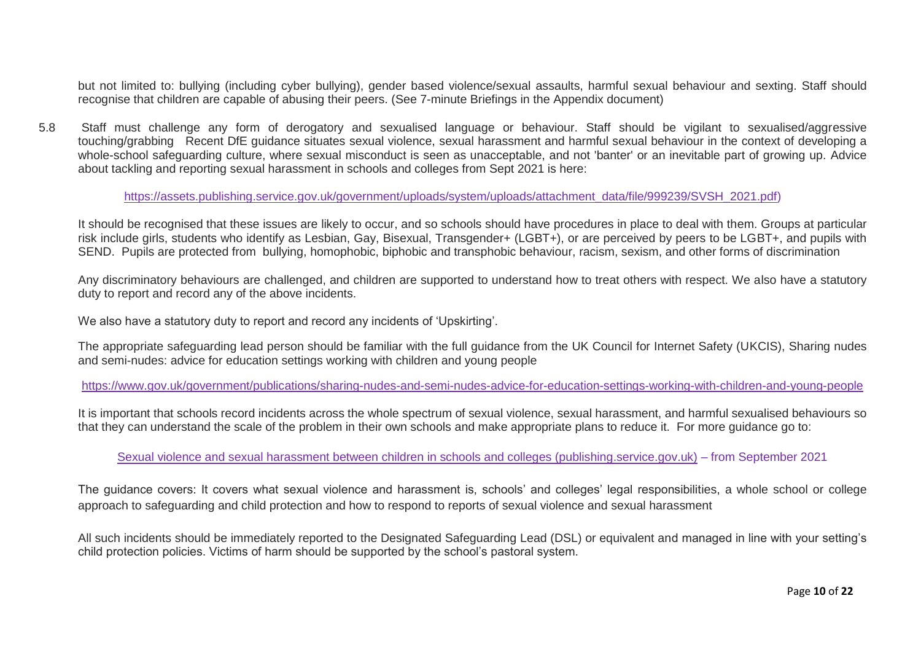but not limited to: bullying (including cyber bullying), gender based violence/sexual assaults, harmful sexual behaviour and sexting. Staff should recognise that children are capable of abusing their peers. (See 7-minute Briefings in the Appendix document)

5.8 Staff must challenge any form of derogatory and sexualised language or behaviour. Staff should be vigilant to sexualised/aggressive touching/grabbing Recent DfE guidance situates sexual violence, sexual harassment and harmful sexual behaviour in the context of developing a whole-school safeguarding culture, where sexual misconduct is seen as unacceptable, and not 'banter' or an inevitable part of growing up. Advice about tackling and reporting sexual harassment in schools and colleges from Sept 2021 is here:

#### [https://assets.publishing.service.gov.uk/government/uploads/system/uploads/attachment\\_data/file/999239/SVSH\\_2021.pdf\)](https://assets.publishing.service.gov.uk/government/uploads/system/uploads/attachment_data/file/999239/SVSH_2021.pdf)

It should be recognised that these issues are likely to occur, and so schools should have procedures in place to deal with them. Groups at particular risk include girls, students who identify as Lesbian, Gay, Bisexual, Transgender+ (LGBT+), or are perceived by peers to be LGBT+, and pupils with SEND. Pupils are protected from bullying, homophobic, biphobic and transphobic behaviour, racism, sexism, and other forms of discrimination

Any discriminatory behaviours are challenged, and children are supported to understand how to treat others with respect. We also have a statutory duty to report and record any of the above incidents.

We also have a statutory duty to report and record any incidents of 'Upskirting'.

The appropriate safeguarding lead person should be familiar with the full guidance from the UK Council for Internet Safety (UKCIS), Sharing nudes and semi-nudes: advice for education settings working with children and young people

<https://www.gov.uk/government/publications/sharing-nudes-and-semi-nudes-advice-for-education-settings-working-with-children-and-young-people>

It is important that schools record incidents across the whole spectrum of sexual violence, sexual harassment, and harmful sexualised behaviours so that they can understand the scale of the problem in their own schools and make appropriate plans to reduce it. For more guidance go to:

[Sexual violence and sexual harassment between children in schools and colleges \(publishing.service.gov.uk\)](https://assets.publishing.service.gov.uk/government/uploads/system/uploads/attachment_data/file/999239/SVSH_2021.pdf) – from September 2021

The guidance covers: It covers what sexual violence and harassment is, schools' and colleges' legal responsibilities, a whole school or college approach to safeguarding and child protection and how to respond to reports of sexual violence and sexual harassment

All such incidents should be immediately reported to the Designated Safeguarding Lead (DSL) or equivalent and managed in line with your setting's child protection policies. Victims of harm should be supported by the school's pastoral system.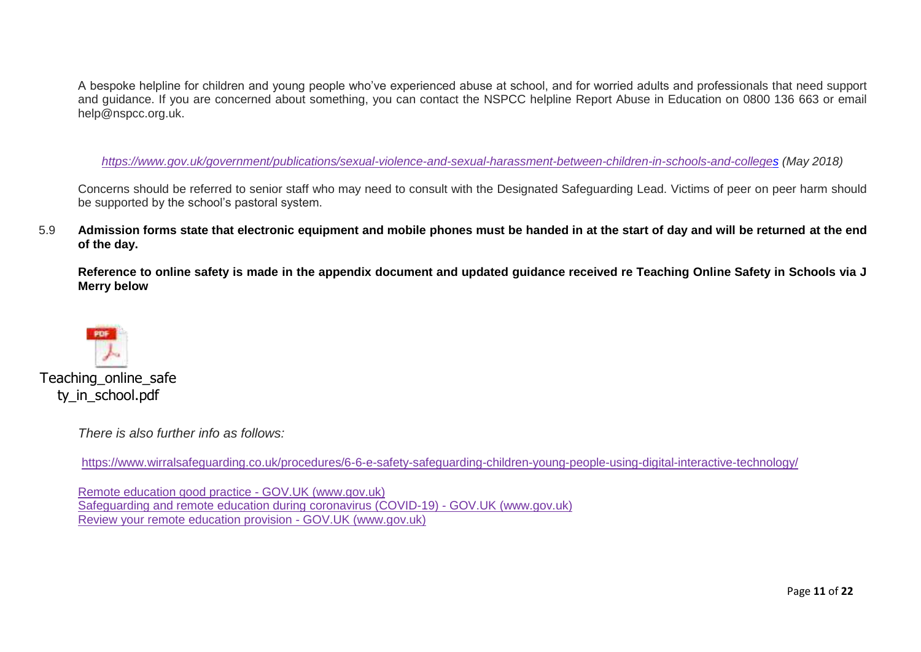A bespoke helpline for children and young people who've experienced abuse at school, and for worried adults and professionals that need support and guidance. If you are concerned about something, you can contact the NSPCC helpline Report Abuse in Education on 0800 136 663 or email help@nspcc.org.uk.

*<https://www.gov.uk/government/publications/sexual-violence-and-sexual-harassment-between-children-in-schools-and-colleges> (May 2018)*

Concerns should be referred to senior staff who may need to consult with the Designated Safeguarding Lead. Victims of peer on peer harm should be supported by the school's pastoral system.

5.9 **Admission forms state that electronic equipment and mobile phones must be handed in at the start of day and will be returned at the end of the day.** 

**Reference to online safety is made in the appendix document and updated guidance received re Teaching Online Safety in Schools via J Merry below**



Teaching online safe ty in school.pdf

*There is also further info as follows:*

<https://www.wirralsafeguarding.co.uk/procedures/6-6-e-safety-safeguarding-children-young-people-using-digital-interactive-technology/>

[Remote education good practice -](https://www.gov.uk/government/publications/remote-education-good-practice/remote-education-good-practice) GOV.UK (www.gov.uk) [Safeguarding and remote education during coronavirus \(COVID-19\) -](https://www.gov.uk/guidance/safeguarding-and-remote-education-during-coronavirus-covid-19) GOV.UK (www.gov.uk) Review your remote education provision - GOV.UK (www.gov.uk)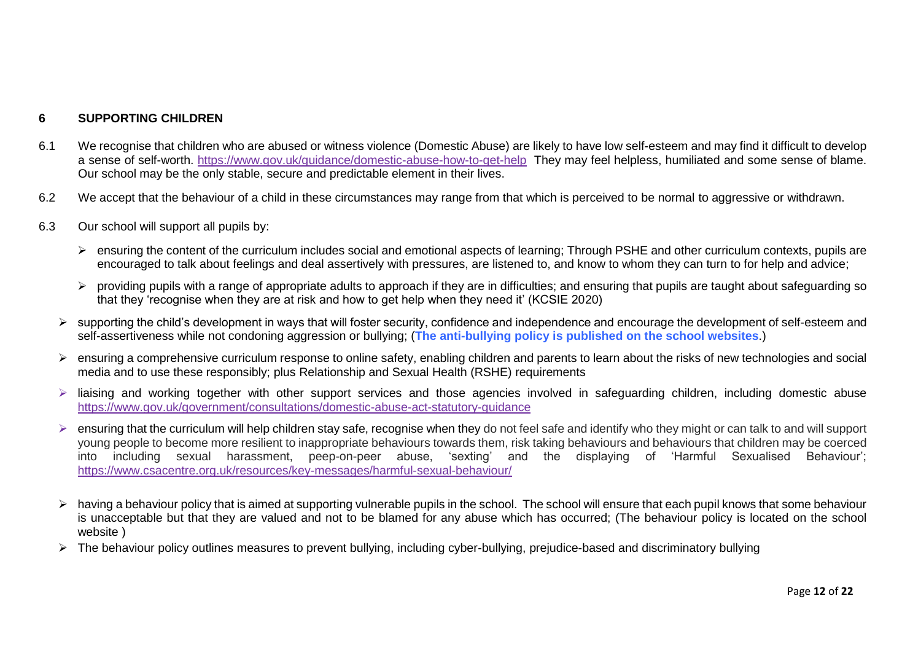#### **6 SUPPORTING CHILDREN**

- 6.1 We recognise that children who are abused or witness violence (Domestic Abuse) are likely to have low self-esteem and may find it difficult to develop a sense of self-worth.<https://www.gov.uk/guidance/domestic-abuse-how-to-get-help>They may feel helpless, humiliated and some sense of blame. Our school may be the only stable, secure and predictable element in their lives.
- 6.2 We accept that the behaviour of a child in these circumstances may range from that which is perceived to be normal to aggressive or withdrawn.
- 6.3 Our school will support all pupils by:
	- ensuring the content of the curriculum includes social and emotional aspects of learning; Through PSHE and other curriculum contexts, pupils are encouraged to talk about feelings and deal assertively with pressures, are listened to, and know to whom they can turn to for help and advice;
	- > providing pupils with a range of appropriate adults to approach if they are in difficulties; and ensuring that pupils are taught about safeguarding so that they 'recognise when they are at risk and how to get help when they need it' (KCSIE 2020)
	- $\triangleright$  supporting the child's development in ways that will foster security, confidence and independence and encourage the development of self-esteem and self-assertiveness while not condoning aggression or bullying; (**The anti-bullying policy is published on the school websites**.)
	- $\triangleright$  ensuring a comprehensive curriculum response to online safety, enabling children and parents to learn about the risks of new technologies and social media and to use these responsibly; plus Relationship and Sexual Health (RSHE) requirements
	- $\triangleright$  liaising and working together with other support services and those agencies involved in safeguarding children, including domestic abuse <https://www.gov.uk/government/consultations/domestic-abuse-act-statutory-guidance>
	- $\triangleright$  ensuring that the curriculum will help children stay safe, recognise when they do not feel safe and identify who they might or can talk to and will support young people to become more resilient to inappropriate behaviours towards them, risk taking behaviours and behaviours that children may be coerced into including sexual harassment, peep-on-peer abuse, 'sexting' and the displaying of 'Harmful Sexualised Behaviour'; <https://www.csacentre.org.uk/resources/key-messages/harmful-sexual-behaviour/>
	- $\triangleright$  having a behaviour policy that is aimed at supporting vulnerable pupils in the school. The school will ensure that each pupil knows that some behaviour is unacceptable but that they are valued and not to be blamed for any abuse which has occurred; (The behaviour policy is located on the school website )
	- The behaviour policy outlines measures to prevent bullying, including cyber-bullying, prejudice-based and discriminatory bullying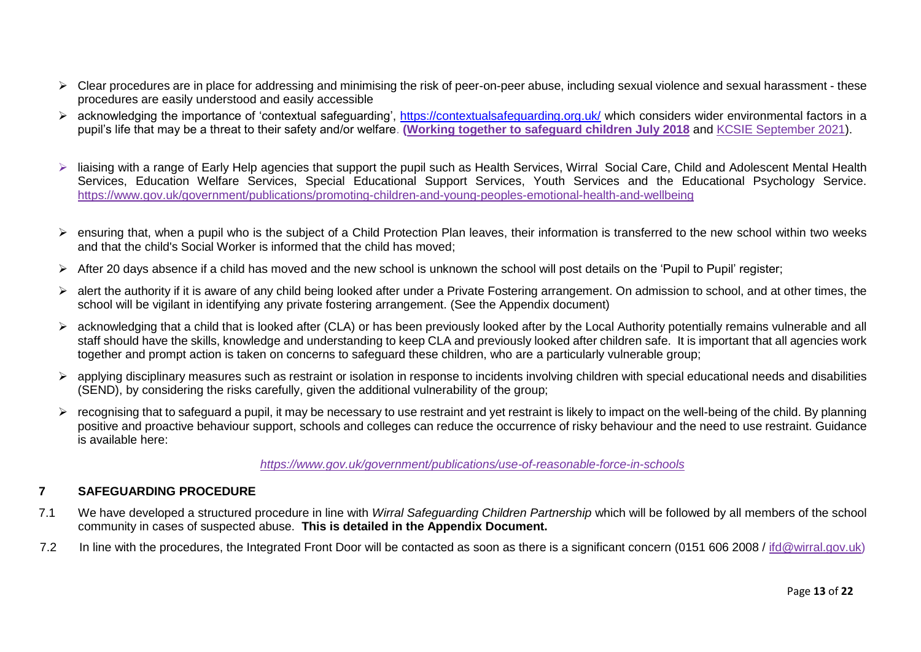- $\triangleright$  Clear procedures are in place for addressing and minimising the risk of peer-on-peer abuse, including sexual violence and sexual harassment these procedures are easily understood and easily accessible
- > acknowledging the importance of 'contextual safeguarding',<https://contextualsafeguarding.org.uk/> which considers wider environmental factors in a pupil's life that may be a threat to their safety and/or welfare. **[\(Working together to safeguard children July 2018](https://www.gov.uk/government/publications/working-together-to-safeguard-children--2)** and [KCSIE September 2021\)](https://assets.publishing.service.gov.uk/government/uploads/system/uploads/attachment_data/file/1007260/Keeping_children_safe_in_education_2021.pdf).
- > liaising with a range of Early Help agencies that support the pupil such as Health Services, Wirral Social Care, Child and Adolescent Mental Health Services, Education Welfare Services, Special Educational Support Services, Youth Services and the Educational Psychology Service. <https://www.gov.uk/government/publications/promoting-children-and-young-peoples-emotional-health-and-wellbeing>
- $\triangleright$  ensuring that, when a pupil who is the subject of a Child Protection Plan leaves, their information is transferred to the new school within two weeks and that the child's Social Worker is informed that the child has moved;
- $\triangleright$  After 20 days absence if a child has moved and the new school is unknown the school will post details on the 'Pupil to Pupil' register;
- > alert the authority if it is aware of any child being looked after under a Private Fostering arrangement. On admission to school, and at other times, the school will be vigilant in identifying any private fostering arrangement. (See the Appendix document)
- acknowledging that a child that is looked after (CLA) or has been previously looked after by the Local Authority potentially remains vulnerable and all staff should have the skills, knowledge and understanding to keep CLA and previously looked after children safe. It is important that all agencies work together and prompt action is taken on concerns to safeguard these children, who are a particularly vulnerable group;
- applying disciplinary measures such as restraint or isolation in response to incidents involving children with special educational needs and disabilities (SEND), by considering the risks carefully, given the additional vulnerability of the group;
- $\triangleright$  recognising that to safeguard a pupil, it may be necessary to use restraint and yet restraint is likely to impact on the well-being of the child. By planning positive and proactive behaviour support, schools and colleges can reduce the occurrence of risky behaviour and the need to use restraint. Guidance is available here:

#### *<https://www.gov.uk/government/publications/use-of-reasonable-force-in-schools>*

#### **7 SAFEGUARDING PROCEDURE**

- 7.1 We have developed a structured procedure in line with *Wirral Safeguarding Children Partnership* which will be followed by all members of the school community in cases of suspected abuse. **This is detailed in the Appendix Document.**
- 7.2 In line with the procedures, the Integrated Front Door will be contacted as soon as there is a significant concern (0151 606 2008 / [ifd@wirral.gov.uk\)](mailto:ifd@wirral.gov.uk)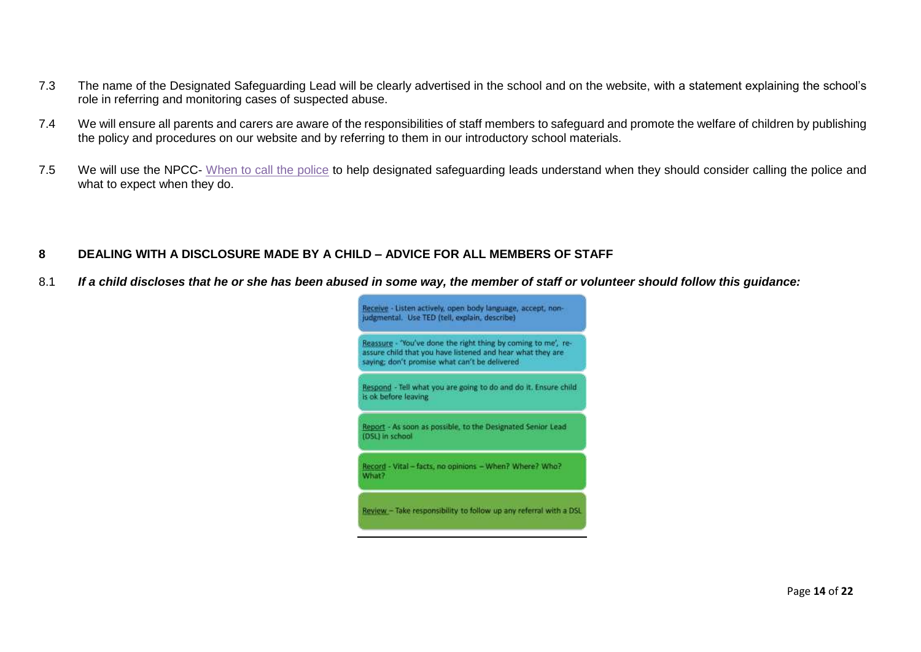- 7.3 The name of the Designated Safeguarding Lead will be clearly advertised in the school and on the website, with a statement explaining the school's role in referring and monitoring cases of suspected abuse.
- 7.4 We will ensure all parents and carers are aware of the responsibilities of staff members to safeguard and promote the welfare of children by publishing the policy and procedures on our website and by referring to them in our introductory school materials.
- 7.5 We will use the NPCC- [When to call the police](https://www.npcc.police.uk/documents/Children%20and%20Young%20people/When%20to%20call%20the%20police%20guidance%20for%20schools%20and%20colleges.pdf) to help designated safeguarding leads understand when they should consider calling the police and what to expect when they do.

#### **8 DEALING WITH A DISCLOSURE MADE BY A CHILD – ADVICE FOR ALL MEMBERS OF STAFF**

8.1 *If a child discloses that he or she has been abused in some way, the member of staff or volunteer should follow this guidance:*

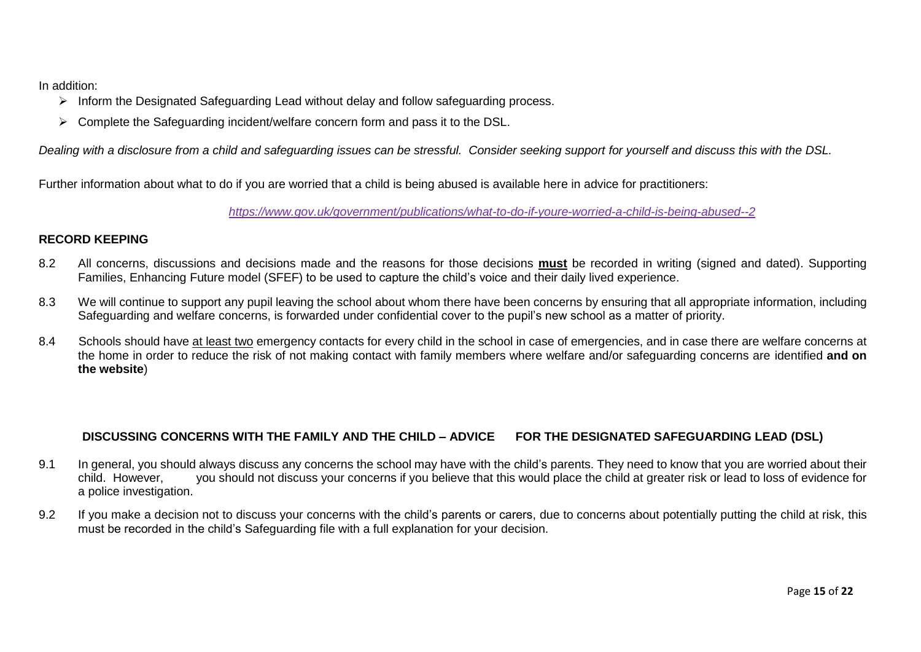In addition:

- $\triangleright$  Inform the Designated Safeguarding Lead without delay and follow safeguarding process.
- $\triangleright$  Complete the Safeguarding incident/welfare concern form and pass it to the DSL.

*Dealing with a disclosure from a child and safeguarding issues can be stressful. Consider seeking support for yourself and discuss this with the DSL.*

Further information about what to do if you are worried that a child is being abused is available here in advice for practitioners:

*<https://www.gov.uk/government/publications/what-to-do-if-youre-worried-a-child-is-being-abused--2>*

#### **RECORD KEEPING**

- 8.2 All concerns, discussions and decisions made and the reasons for those decisions **must** be recorded in writing (signed and dated). Supporting Families, Enhancing Future model (SFEF) to be used to capture the child's voice and their daily lived experience.
- 8.3 We will continue to support any pupil leaving the school about whom there have been concerns by ensuring that all appropriate information, including Safeguarding and welfare concerns, is forwarded under confidential cover to the pupil's new school as a matter of priority.
- 8.4 Schools should have at least two emergency contacts for every child in the school in case of emergencies, and in case there are welfare concerns at the home in order to reduce the risk of not making contact with family members where welfare and/or safeguarding concerns are identified **and on the website**)

#### **DISCUSSING CONCERNS WITH THE FAMILY AND THE CHILD – ADVICE FOR THE DESIGNATED SAFEGUARDING LEAD (DSL)**

- 9.1 In general, you should always discuss any concerns the school may have with the child's parents. They need to know that you are worried about their<br>child. However. vou should not discuss your concerns if you believe th you should not discuss your concerns if you believe that this would place the child at greater risk or lead to loss of evidence for a police investigation.
- 9.2 If you make a decision not to discuss your concerns with the child's parents or carers, due to concerns about potentially putting the child at risk, this must be recorded in the child's Safeguarding file with a full explanation for your decision.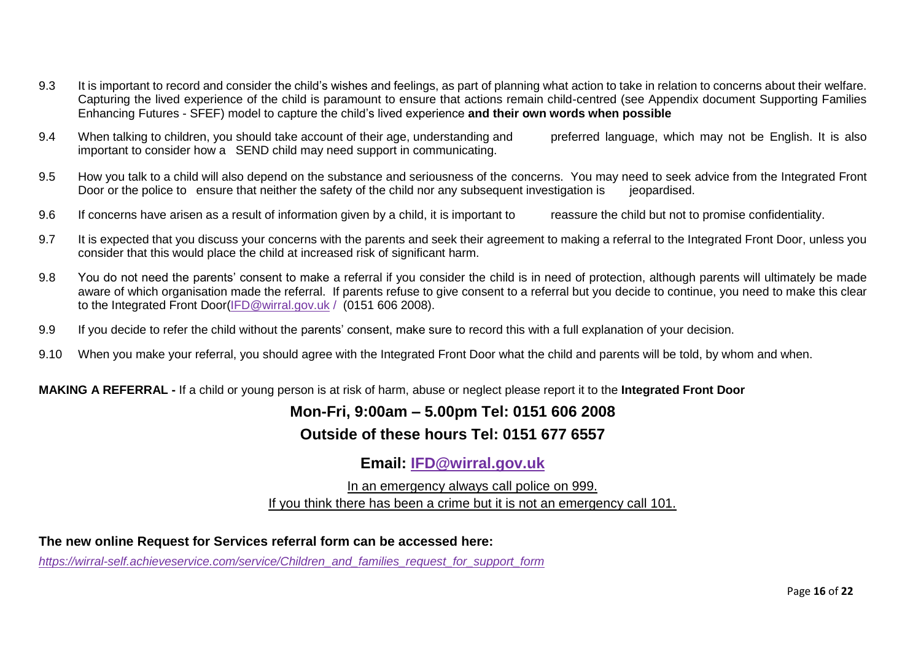- 9.3 It is important to record and consider the child's wishes and feelings, as part of planning what action to take in relation to concerns about their welfare. Capturing the lived experience of the child is paramount to ensure that actions remain child-centred (see Appendix document Supporting Families Enhancing Futures - SFEF) model to capture the child's lived experience **and their own words when possible**
- 9.4 When talking to children, you should take account of their age, understanding and preferred language, which may not be English. It is also important to consider how a SEND child may need support in communicating.
- 9.5 How you talk to a child will also depend on the substance and seriousness of the concerns. You may need to seek advice from the Integrated Front Door or the police to ensure that neither the safety of the child nor any subsequent investigation is ieopardised.
- 9.6 If concerns have arisen as a result of information given by a child, it is important to reassure the child but not to promise confidentiality.
- 9.7 It is expected that you discuss your concerns with the parents and seek their agreement to making a referral to the Integrated Front Door, unless you consider that this would place the child at increased risk of significant harm.
- 9.8 You do not need the parents' consent to make a referral if you consider the child is in need of protection, although parents will ultimately be made aware of which organisation made the referral. If parents refuse to give consent to a referral but you decide to continue, you need to make this clear to the Integrated Front Door[\(IFD@wirral.gov.uk](mailto:IFD@wirral.gov.uk) / (0151 606 2008).
- 9.9 If you decide to refer the child without the parents' consent, make sure to record this with a full explanation of your decision.
- 9.10 When you make your referral, you should agree with the Integrated Front Door what the child and parents will be told, by whom and when.

**MAKING A REFERRAL -** If a child or young person is at risk of harm, abuse or neglect please report it to the **Integrated Front Door**

#### **Mon-Fri, 9:00am – 5.00pm Tel: 0151 606 2008**

#### **Outside of these hours Tel: 0151 677 6557**

#### **Email: [IFD@wirral.gov.uk](mailto:IFD@wirral.gov.uk)**

In an emergency always call police on 999. If you think there has been a crime but it is not an emergency call 101.

**The new online Request for Services referral form can be accessed here:**

*[https://wirral-self.achieveservice.com/service/Children\\_and\\_families\\_request\\_for\\_support\\_form](https://wirral-self.achieveservice.com/service/Children_and_families_request_for_support_form)*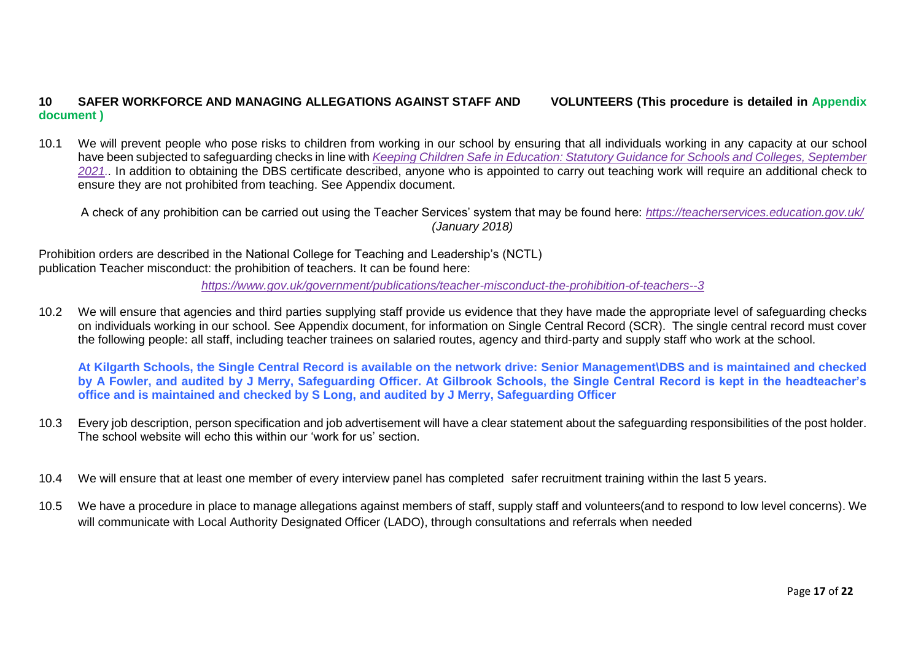#### **10 SAFER WORKFORCE AND MANAGING ALLEGATIONS AGAINST STAFF AND VOLUNTEERS (This procedure is detailed in Appendix document )**

10.1 We will prevent people who pose risks to children from working in our school by ensuring that all individuals working in any capacity at our school have been subjected to safeguarding checks in line with *[Keeping Children Safe in Education: Statutory Guidance for Schools and Colleges, September](https://assets.publishing.service.gov.uk/government/uploads/system/uploads/attachment_data/file/1007260/Keeping_children_safe_in_education_2021.pdf)  [2021.](https://assets.publishing.service.gov.uk/government/uploads/system/uploads/attachment_data/file/1007260/Keeping_children_safe_in_education_2021.pdf).* In addition to obtaining the DBS certificate described, anyone who is appointed to carry out teaching work will require an additional check to ensure they are not prohibited from teaching. See Appendix document.

A check of any prohibition can be carried out using the Teacher Services' system that may be found here: *<https://teacherservices.education.gov.uk/> (January 2018)*

Prohibition orders are described in the National College for Teaching and Leadership's (NCTL) publication Teacher misconduct: the prohibition of teachers. It can be found here:

*<https://www.gov.uk/government/publications/teacher-misconduct-the-prohibition-of-teachers--3>*

10.2 We will ensure that agencies and third parties supplying staff provide us evidence that they have made the appropriate level of safeguarding checks on individuals working in our school. See Appendix document, for information on Single Central Record (SCR). The single central record must cover the following people: all staff, including teacher trainees on salaried routes, agency and third-party and supply staff who work at the school.

**At Kilgarth Schools, the Single Central Record is available on the network drive: Senior Management\DBS and is maintained and checked by A Fowler, and audited by J Merry, Safeguarding Officer. At Gilbrook Schools, the Single Central Record is kept in the headteacher's office and is maintained and checked by S Long, and audited by J Merry, Safeguarding Officer**

- 10.3 Every job description, person specification and job advertisement will have a clear statement about the safeguarding responsibilities of the post holder. The school website will echo this within our 'work for us' section.
- 10.4 We will ensure that at least one member of every interview panel has completed safer recruitment training within the last 5 years.
- 10.5 We have a procedure in place to manage allegations against members of staff, supply staff and volunteers(and to respond to low level concerns). We will communicate with Local Authority Designated Officer (LADO), through consultations and referrals when needed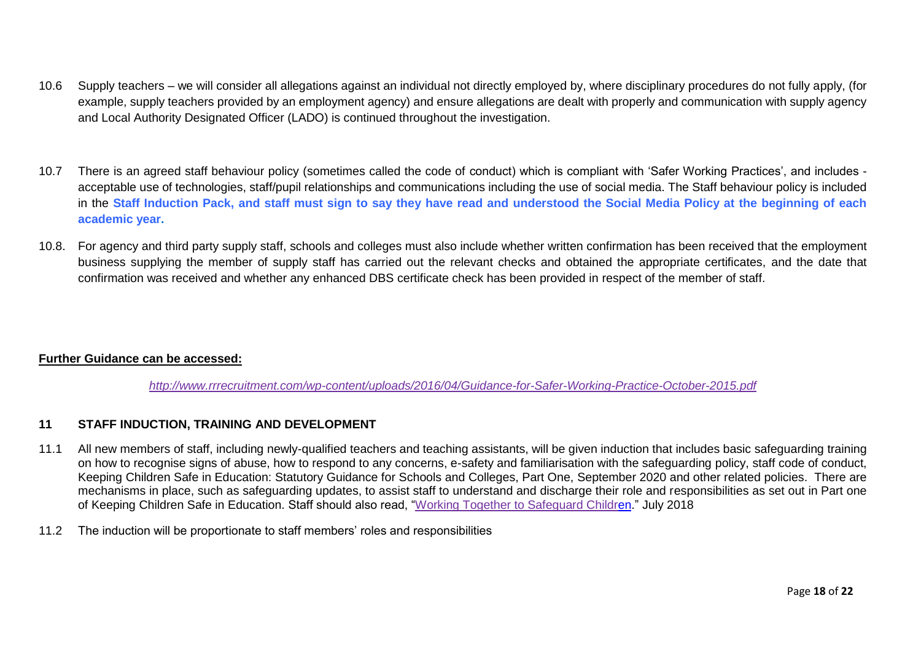- 10.6 Supply teachers we will consider all allegations against an individual not directly employed by, where disciplinary procedures do not fully apply, (for example, supply teachers provided by an employment agency) and ensure allegations are dealt with properly and communication with supply agency and Local Authority Designated Officer (LADO) is continued throughout the investigation.
- 10.7 There is an agreed staff behaviour policy (sometimes called the code of conduct) which is compliant with 'Safer Working Practices', and includes acceptable use of technologies, staff/pupil relationships and communications including the use of social media. The Staff behaviour policy is included in the **Staff Induction Pack, and staff must sign to say they have read and understood the Social Media Policy at the beginning of each academic year.**
- 10.8. For agency and third party supply staff, schools and colleges must also include whether written confirmation has been received that the employment business supplying the member of supply staff has carried out the relevant checks and obtained the appropriate certificates, and the date that confirmation was received and whether any enhanced DBS certificate check has been provided in respect of the member of staff.

#### **Further Guidance can be accessed:**

*<http://www.rrrecruitment.com/wp-content/uploads/2016/04/Guidance-for-Safer-Working-Practice-October-2015.pdf>*

#### **11 STAFF INDUCTION, TRAINING AND DEVELOPMENT**

- 11.1 All new members of staff, including newly-qualified teachers and teaching assistants, will be given induction that includes basic safeguarding training on how to recognise signs of abuse, how to respond to any concerns, e-safety and familiarisation with the safeguarding policy, staff code of conduct, Keeping Children Safe in Education: Statutory Guidance for Schools and Colleges, Part One, September 2020 and other related policies. There are mechanisms in place, such as safeguarding updates, to assist staff to understand and discharge their role and responsibilities as set out in Part one of Keeping Children Safe in Education. Staff should also read, ["Working Together to Safeguard Children.](https://www.gov.uk/government/publications/working-together-to-safeguard-children--2)" July 2018
- 11.2 The induction will be proportionate to staff members' roles and responsibilities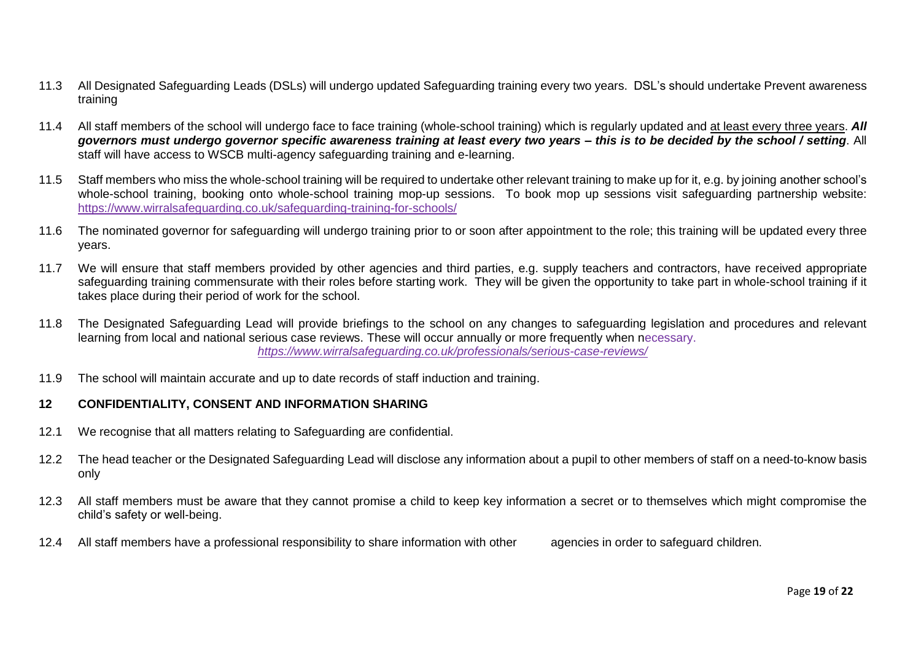- 11.3 All Designated Safeguarding Leads (DSLs) will undergo updated Safeguarding training every two years. DSL's should undertake Prevent awareness training
- 11.4 All staff members of the school will undergo face to face training (whole-school training) which is regularly updated and at least every three years. *All governors must undergo governor specific awareness training at least every two years – this is to be decided by the school / setting*. All staff will have access to WSCB multi-agency safeguarding training and e-learning.
- 11.5 Staff members who miss the whole-school training will be required to undertake other relevant training to make up for it, e.g. by joining another school's whole-school training, booking onto whole-school training mop-up sessions. To book mop up sessions visit safeguarding partnership website: <https://www.wirralsafeguarding.co.uk/safeguarding-training-for-schools/>
- 11.6 The nominated governor for safeguarding will undergo training prior to or soon after appointment to the role; this training will be updated every three years.
- 11.7 We will ensure that staff members provided by other agencies and third parties, e.g. supply teachers and contractors, have received appropriate safeguarding training commensurate with their roles before starting work. They will be given the opportunity to take part in whole-school training if it takes place during their period of work for the school.
- 11.8 The Designated Safeguarding Lead will provide briefings to the school on any changes to safeguarding legislation and procedures and relevant learning from local and national serious case reviews. These will occur annually or more frequently when necessary. *<https://www.wirralsafeguarding.co.uk/professionals/serious-case-reviews/>*
- 11.9 The school will maintain accurate and up to date records of staff induction and training.

#### **12 CONFIDENTIALITY, CONSENT AND INFORMATION SHARING**

- 12.1 We recognise that all matters relating to Safeguarding are confidential.
- 12.2 The head teacher or the Designated Safeguarding Lead will disclose any information about a pupil to other members of staff on a need-to-know basis only
- 12.3 All staff members must be aware that they cannot promise a child to keep key information a secret or to themselves which might compromise the child's safety or well-being.
- 12.4 All staff members have a professional responsibility to share information with other agencies in order to safeguard children.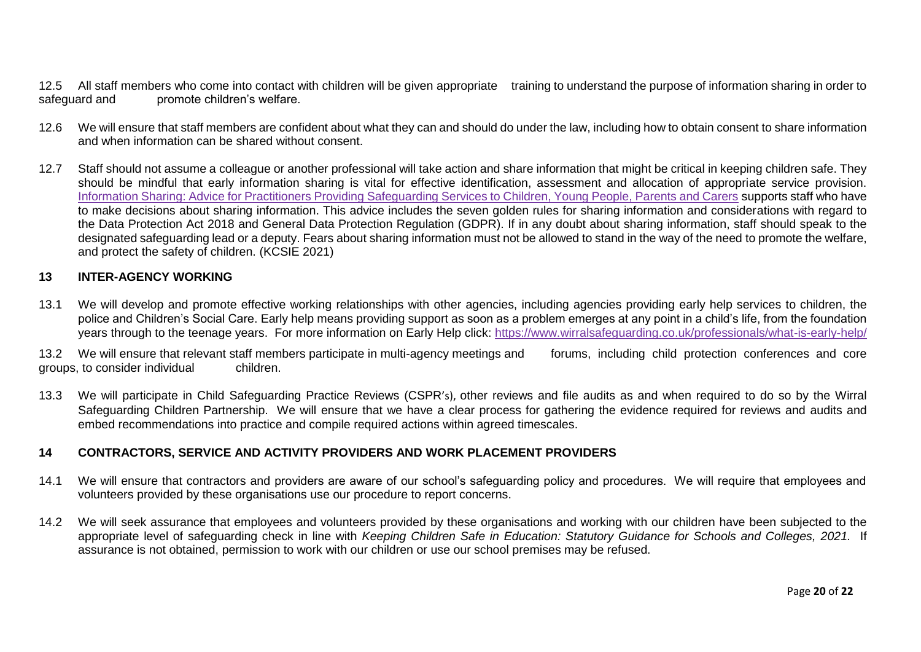12.5 All staff members who come into contact with children will be given appropriate training to understand the purpose of information sharing in order to safequard and promote children's welfare. promote children's welfare.

- 12.6 We will ensure that staff members are confident about what they can and should do under the law, including how to obtain consent to share information and when information can be shared without consent.
- 12.7 Staff should not assume a colleague or another professional will take action and share information that might be critical in keeping children safe. They should be mindful that early information sharing is vital for effective identification, assessment and allocation of appropriate service provision. [Information Sharing: Advice for Practitioners Providing Safeguarding Services to Children, Young People, Parents and Carers](https://www.gov.uk/government/publications/safeguarding-practitioners-information-sharing-advice) supports staff who have to make decisions about sharing information. This advice includes the seven golden rules for sharing information and considerations with regard to the Data Protection Act 2018 and General Data Protection Regulation (GDPR). If in any doubt about sharing information, staff should speak to the designated safeguarding lead or a deputy. Fears about sharing information must not be allowed to stand in the way of the need to promote the welfare, and protect the safety of children. (KCSIE 2021)

#### **13 INTER-AGENCY WORKING**

13.1 We will develop and promote effective working relationships with other agencies, including agencies providing early help services to children, the police and Children's Social Care. Early help means providing support as soon as a problem emerges at any point in a child's life, from the foundation years through to the teenage years. For more information on Early Help click: <https://www.wirralsafeguarding.co.uk/professionals/what-is-early-help/>

13.2 We will ensure that relevant staff members participate in multi-agency meetings and forums, including child protection conferences and core groups, to consider individual children.

13.3 We will participate in Child Safeguarding Practice Reviews (CSPR's), other reviews and file audits as and when required to do so by the Wirral Safeguarding Children Partnership. We will ensure that we have a clear process for gathering the evidence required for reviews and audits and embed recommendations into practice and compile required actions within agreed timescales.

#### **14 CONTRACTORS, SERVICE AND ACTIVITY PROVIDERS AND WORK PLACEMENT PROVIDERS**

- 14.1 We will ensure that contractors and providers are aware of our school's safeguarding policy and procedures. We will require that employees and volunteers provided by these organisations use our procedure to report concerns.
- 14.2 We will seek assurance that employees and volunteers provided by these organisations and working with our children have been subjected to the appropriate level of safeguarding check in line with *Keeping Children Safe in Education: Statutory Guidance for Schools and Colleges, 2021.* If assurance is not obtained, permission to work with our children or use our school premises may be refused.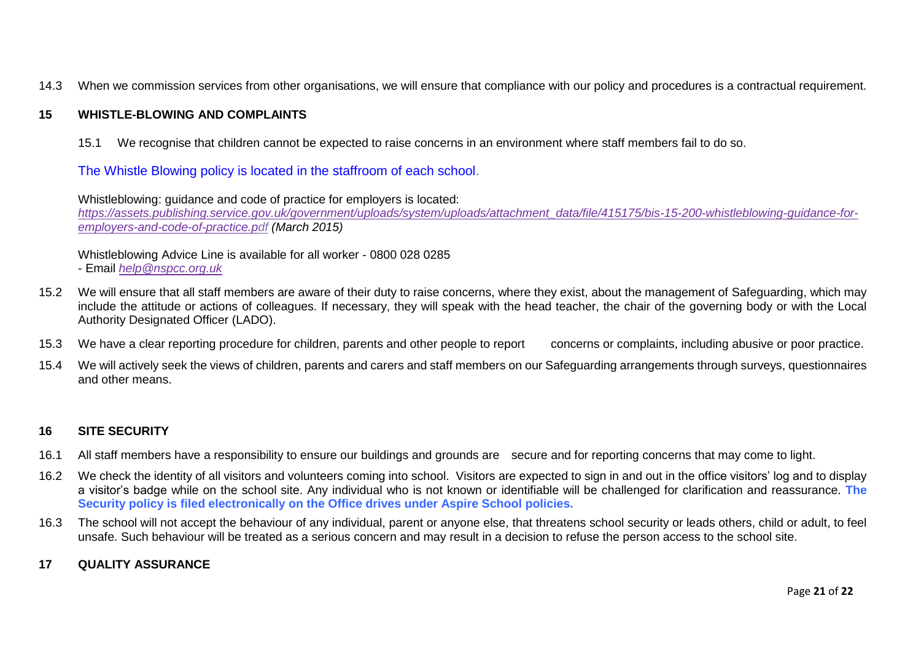14.3 When we commission services from other organisations, we will ensure that compliance with our policy and procedures is a contractual requirement.

#### **15 WHISTLE-BLOWING AND COMPLAINTS**

15.1 We recognise that children cannot be expected to raise concerns in an environment where staff members fail to do so.

The Whistle Blowing policy is located in the staffroom of each school.

Whistleblowing: guidance and code of practice for employers is located: *[https://assets.publishing.service.gov.uk/government/uploads/system/uploads/attachment\\_data/file/415175/bis-15-200-whistleblowing-guidance-for](https://assets.publishing.service.gov.uk/government/uploads/system/uploads/attachment_data/file/415175/bis-15-200-whistleblowing-guidance-for-%09employers-and-code-of-practice.pdf)[employers-and-code-of-practice.pdf](https://assets.publishing.service.gov.uk/government/uploads/system/uploads/attachment_data/file/415175/bis-15-200-whistleblowing-guidance-for-%09employers-and-code-of-practice.pdf) (March 2015)*

Whistleblowing Advice Line is available for all worker - 0800 028 0285

- Email *[help@nspcc.org.uk](mailto:help@nspcc.org.uk)*
- 15.2 We will ensure that all staff members are aware of their duty to raise concerns, where they exist, about the management of Safeguarding, which may include the attitude or actions of colleagues. If necessary, they will speak with the head teacher, the chair of the governing body or with the Local Authority Designated Officer (LADO).
- 15.3 We have a clear reporting procedure for children, parents and other people to report concerns or complaints, including abusive or poor practice.
- 15.4 We will actively seek the views of children, parents and carers and staff members on our Safeguarding arrangements through surveys, questionnaires and other means.

#### **16 SITE SECURITY**

- 16.1 All staff members have a responsibility to ensure our buildings and grounds are secure and for reporting concerns that may come to light.
- 16.2 We check the identity of all visitors and volunteers coming into school. Visitors are expected to sign in and out in the office visitors' log and to display a visitor's badge while on the school site. Any individual who is not known or identifiable will be challenged for clarification and reassurance. **The Security policy is filed electronically on the Office drives under Aspire School policies.**
- 16.3 The school will not accept the behaviour of any individual, parent or anyone else, that threatens school security or leads others, child or adult, to feel unsafe. Such behaviour will be treated as a serious concern and may result in a decision to refuse the person access to the school site.
- **17 QUALITY ASSURANCE**